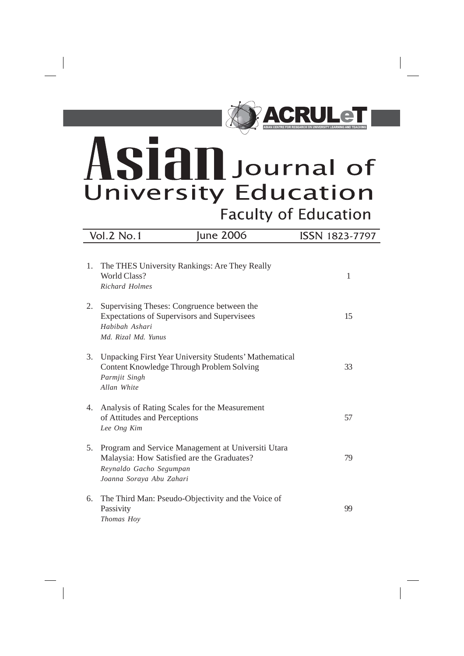

# sian Journal of **University Education Faculty of Education**

 $\overline{\phantom{a}}$ 

|    | <b>Vol.2 No.1</b>                                                                                                                                       | <b>June 2006</b>                                       | ISSN 1823-7797 |
|----|---------------------------------------------------------------------------------------------------------------------------------------------------------|--------------------------------------------------------|----------------|
| 1. | The THES University Rankings: Are They Really<br>World Class?<br>Richard Holmes                                                                         |                                                        | 1              |
| 2. | Supervising Theses: Congruence between the<br>Expectations of Supervisors and Supervisees<br>Habibah Ashari<br>Md. Rizal Md. Yunus                      |                                                        | 15             |
| 3. | Content Knowledge Through Problem Solving<br>Parmjit Singh<br>Allan White                                                                               | Unpacking First Year University Students' Mathematical | 33             |
| 4. | Analysis of Rating Scales for the Measurement<br>of Attitudes and Perceptions<br>Lee Ong Kim                                                            |                                                        | 57             |
| 5. | Program and Service Management at Universiti Utara<br>Malaysia: How Satisfied are the Graduates?<br>Reynaldo Gacho Segumpan<br>Joanna Soraya Abu Zahari |                                                        | 79             |
| 6. | The Third Man: Pseudo-Objectivity and the Voice of<br>Passivity<br>Thomas Hoy                                                                           |                                                        | 99             |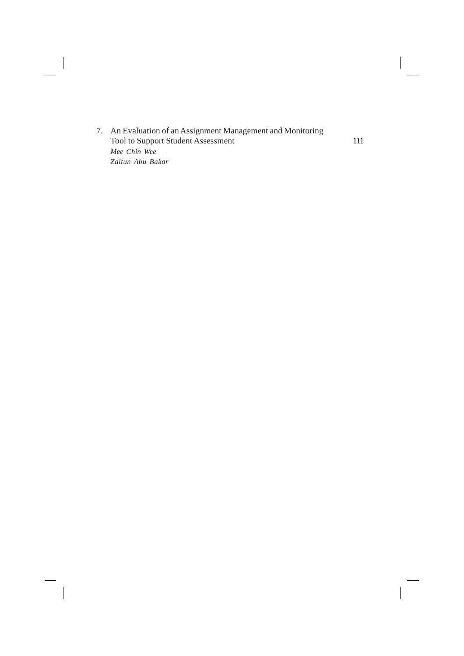7. An Evaluation of an Assignment Management and Monitoring Tool to Support Student Assessment 111 *Mee Chin Wee Zaitun Abu Bakar*

 $\begin{array}{c} \hline \end{array}$ 

 $\overline{\phantom{a}}$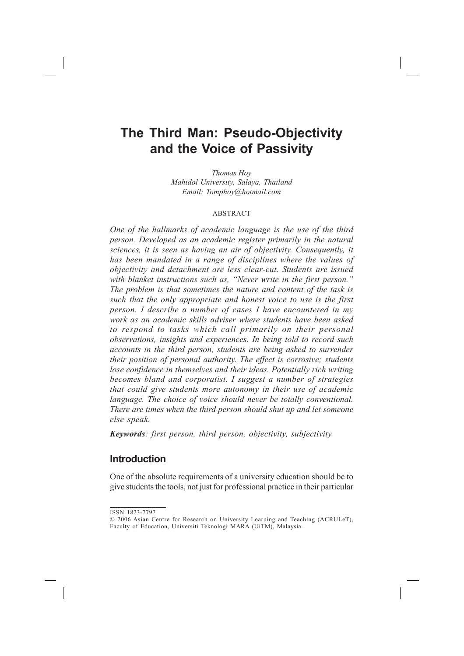## **The Third Man: Pseudo-Objectivity and the Voice of Passivity**

*Thomas Hoy Mahidol University, Salaya, Thailand Email: Tomphoy@hotmail.com*

#### **ABSTRACT**

*One of the hallmarks of academic language is the use of the third person. Developed as an academic register primarily in the natural sciences, it is seen as having an air of objectivity. Consequently, it has been mandated in a range of disciplines where the values of objectivity and detachment are less clear-cut. Students are issued with blanket instructions such as, "Never write in the first person." The problem is that sometimes the nature and content of the task is such that the only appropriate and honest voice to use is the first person. I describe a number of cases I have encountered in my work as an academic skills adviser where students have been asked to respond to tasks which call primarily on their personal observations, insights and experiences. In being told to record such accounts in the third person, students are being asked to surrender their position of personal authority. The effect is corrosive; students lose confidence in themselves and their ideas. Potentially rich writing becomes bland and corporatist. I suggest a number of strategies that could give students more autonomy in their use of academic language. The choice of voice should never be totally conventional. There are times when the third person should shut up and let someone else speak.*

*Keywords: first person, third person, objectivity, subjectivity*

## **Introduction**

One of the absolute requirements of a university education should be to give students the tools, not just for professional practice in their particular

ISSN 1823-7797

<sup>© 2006</sup> Asian Centre for Research on University Learning and Teaching (ACRULeT), Faculty of Education, Universiti Teknologi MARA (UiTM), Malaysia.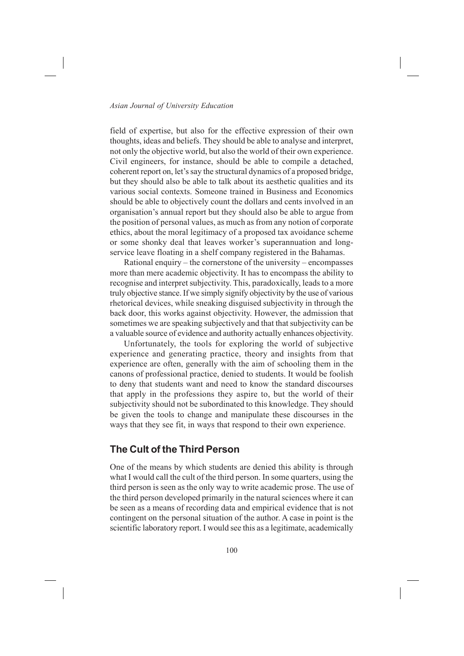field of expertise, but also for the effective expression of their own thoughts, ideas and beliefs. They should be able to analyse and interpret, not only the objective world, but also the world of their own experience. Civil engineers, for instance, should be able to compile a detached, coherent report on, let's say the structural dynamics of a proposed bridge, but they should also be able to talk about its aesthetic qualities and its various social contexts. Someone trained in Business and Economics should be able to objectively count the dollars and cents involved in an organisation's annual report but they should also be able to argue from the position of personal values, as much as from any notion of corporate ethics, about the moral legitimacy of a proposed tax avoidance scheme or some shonky deal that leaves worker's superannuation and longservice leave floating in a shelf company registered in the Bahamas.

Rational enquiry – the cornerstone of the university – encompasses more than mere academic objectivity. It has to encompass the ability to recognise and interpret subjectivity. This, paradoxically, leads to a more truly objective stance. If we simply signify objectivity by the use of various rhetorical devices, while sneaking disguised subjectivity in through the back door, this works against objectivity. However, the admission that sometimes we are speaking subjectively and that that subjectivity can be a valuable source of evidence and authority actually enhances objectivity.

Unfortunately, the tools for exploring the world of subjective experience and generating practice, theory and insights from that experience are often, generally with the aim of schooling them in the canons of professional practice, denied to students. It would be foolish to deny that students want and need to know the standard discourses that apply in the professions they aspire to, but the world of their subjectivity should not be subordinated to this knowledge. They should be given the tools to change and manipulate these discourses in the ways that they see fit, in ways that respond to their own experience.

## **The Cult of the Third Person**

One of the means by which students are denied this ability is through what I would call the cult of the third person. In some quarters, using the third person is seen as the only way to write academic prose. The use of the third person developed primarily in the natural sciences where it can be seen as a means of recording data and empirical evidence that is not contingent on the personal situation of the author. A case in point is the scientific laboratory report. I would see this as a legitimate, academically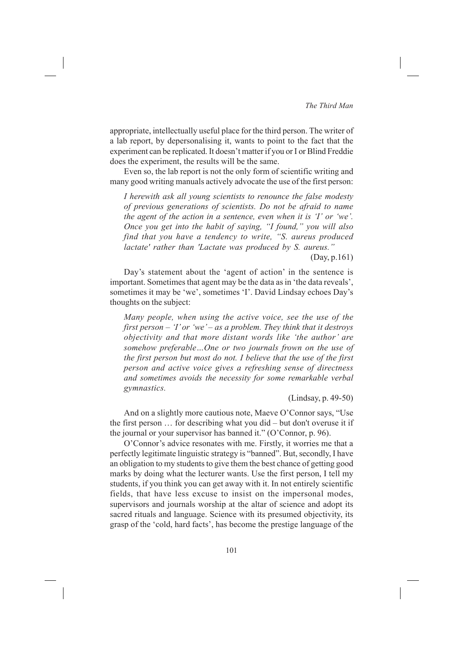## *The Third Man*

appropriate, intellectually useful place for the third person. The writer of a lab report, by depersonalising it, wants to point to the fact that the experiment can be replicated. It doesn't matter if you or I or Blind Freddie does the experiment, the results will be the same.

Even so, the lab report is not the only form of scientific writing and many good writing manuals actively advocate the use of the first person:

*I herewith ask all young scientists to renounce the false modesty of previous generations of scientists. Do not be afraid to name the agent of the action in a sentence, even when it is 'I' or 'we'. Once you get into the habit of saying, "I found," you will also find that you have a tendency to write, "S. aureus produced lactate' rather than 'Lactate was produced by S. aureus."*

(Day, p.161)

Day's statement about the 'agent of action' in the sentence is important. Sometimes that agent may be the data as in 'the data reveals', sometimes it may be 'we', sometimes 'I'. David Lindsay echoes Day's thoughts on the subject:

*Many people, when using the active voice, see the use of the first person – 'I' or 'we' – as a problem. They think that it destroys objectivity and that more distant words like 'the author' are somehow preferable…One or two journals frown on the use of the first person but most do not. I believe that the use of the first person and active voice gives a refreshing sense of directness and sometimes avoids the necessity for some remarkable verbal gymnastics.*

(Lindsay, p. 49-50)

And on a slightly more cautious note, Maeve O'Connor says, "Use the first person … for describing what you did – but don't overuse it if the journal or your supervisor has banned it." (O'Connor, p. 96).

O'Connor's advice resonates with me. Firstly, it worries me that a perfectly legitimate linguistic strategy is "banned". But, secondly, I have an obligation to my students to give them the best chance of getting good marks by doing what the lecturer wants. Use the first person, I tell my students, if you think you can get away with it. In not entirely scientific fields, that have less excuse to insist on the impersonal modes, supervisors and journals worship at the altar of science and adopt its sacred rituals and language. Science with its presumed objectivity, its grasp of the 'cold, hard facts', has become the prestige language of the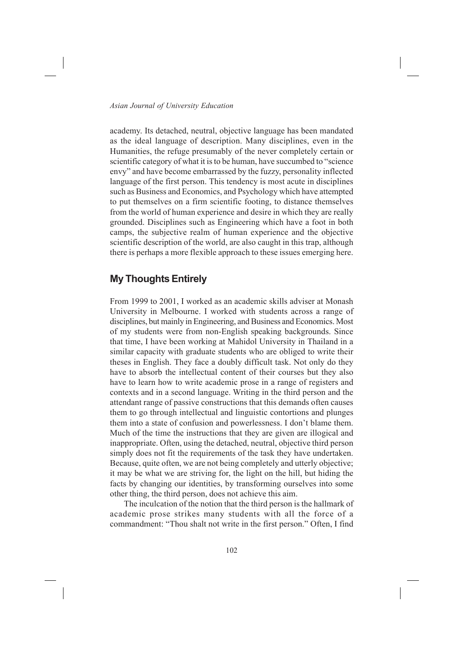academy. Its detached, neutral, objective language has been mandated as the ideal language of description. Many disciplines, even in the Humanities, the refuge presumably of the never completely certain or scientific category of what it is to be human, have succumbed to "science envy" and have become embarrassed by the fuzzy, personality inflected language of the first person. This tendency is most acute in disciplines such as Business and Economics, and Psychology which have attempted to put themselves on a firm scientific footing, to distance themselves from the world of human experience and desire in which they are really grounded. Disciplines such as Engineering which have a foot in both camps, the subjective realm of human experience and the objective scientific description of the world, are also caught in this trap, although there is perhaps a more flexible approach to these issues emerging here.

## **My Thoughts Entirely**

From 1999 to 2001, I worked as an academic skills adviser at Monash University in Melbourne. I worked with students across a range of disciplines, but mainly in Engineering, and Business and Economics. Most of my students were from non-English speaking backgrounds. Since that time, I have been working at Mahidol University in Thailand in a similar capacity with graduate students who are obliged to write their theses in English. They face a doubly difficult task. Not only do they have to absorb the intellectual content of their courses but they also have to learn how to write academic prose in a range of registers and contexts and in a second language. Writing in the third person and the attendant range of passive constructions that this demands often causes them to go through intellectual and linguistic contortions and plunges them into a state of confusion and powerlessness. I don't blame them. Much of the time the instructions that they are given are illogical and inappropriate. Often, using the detached, neutral, objective third person simply does not fit the requirements of the task they have undertaken. Because, quite often, we are not being completely and utterly objective; it may be what we are striving for, the light on the hill, but hiding the facts by changing our identities, by transforming ourselves into some other thing, the third person, does not achieve this aim.

The inculcation of the notion that the third person is the hallmark of academic prose strikes many students with all the force of a commandment: "Thou shalt not write in the first person." Often, I find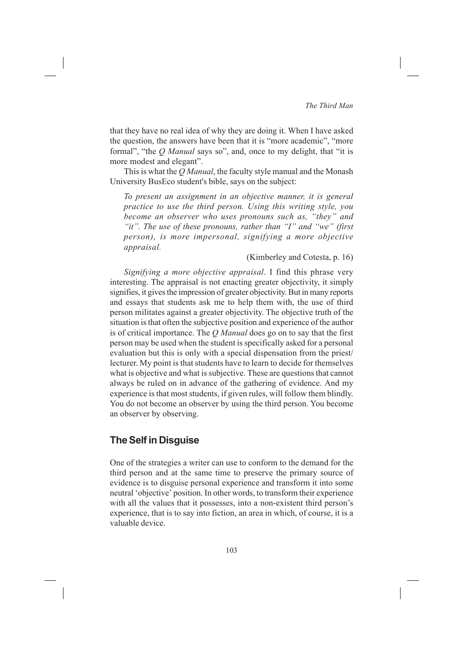that they have no real idea of why they are doing it. When I have asked the question, the answers have been that it is "more academic", "more formal", "the *Q Manual* says so", and, once to my delight, that "it is more modest and elegant".

This is what the *Q Manual*, the faculty style manual and the Monash University BusEco student's bible, says on the subject:

*To present an assignment in an objective manner, it is general practice to use the third person. Using this writing style, you become an observer who uses pronouns such as, "they" and "it". The use of these pronouns, rather than "I" and "we" (first person), is more impersonal, signifying a more objective appraisal.*

### (Kimberley and Cotesta, p. 16)

*Signifying a more objective appraisal*. I find this phrase very interesting. The appraisal is not enacting greater objectivity, it simply signifies, it gives the impression of greater objectivity. But in many reports and essays that students ask me to help them with, the use of third person militates against a greater objectivity. The objective truth of the situation is that often the subjective position and experience of the author is of critical importance. The *Q Manual* does go on to say that the first person may be used when the student is specifically asked for a personal evaluation but this is only with a special dispensation from the priest/ lecturer. My point is that students have to learn to decide for themselves what is objective and what is subjective. These are questions that cannot always be ruled on in advance of the gathering of evidence. And my experience is that most students, if given rules, will follow them blindly. You do not become an observer by using the third person. You become an observer by observing.

## **The Self in Disguise**

One of the strategies a writer can use to conform to the demand for the third person and at the same time to preserve the primary source of evidence is to disguise personal experience and transform it into some neutral 'objective' position. In other words, to transform their experience with all the values that it possesses, into a non-existent third person's experience, that is to say into fiction, an area in which, of course, it is a valuable device.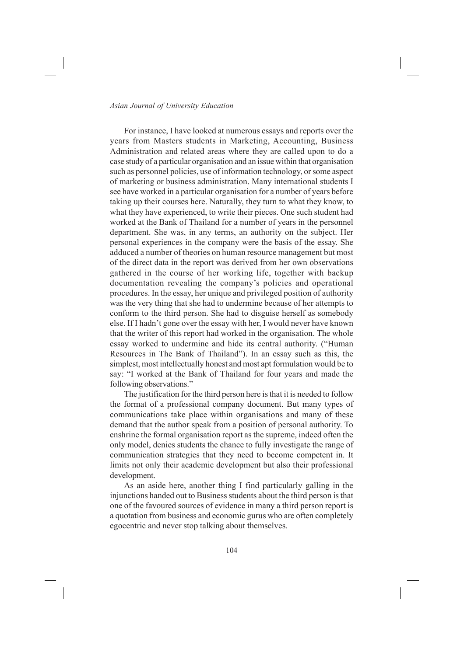For instance, I have looked at numerous essays and reports over the years from Masters students in Marketing, Accounting, Business Administration and related areas where they are called upon to do a case study of a particular organisation and an issue within that organisation such as personnel policies, use of information technology, or some aspect of marketing or business administration. Many international students I see have worked in a particular organisation for a number of years before taking up their courses here. Naturally, they turn to what they know, to what they have experienced, to write their pieces. One such student had worked at the Bank of Thailand for a number of years in the personnel department. She was, in any terms, an authority on the subject. Her personal experiences in the company were the basis of the essay. She adduced a number of theories on human resource management but most of the direct data in the report was derived from her own observations gathered in the course of her working life, together with backup documentation revealing the company's policies and operational procedures. In the essay, her unique and privileged position of authority was the very thing that she had to undermine because of her attempts to conform to the third person. She had to disguise herself as somebody else. If I hadn't gone over the essay with her, I would never have known that the writer of this report had worked in the organisation. The whole essay worked to undermine and hide its central authority. ("Human Resources in The Bank of Thailand"). In an essay such as this, the simplest, most intellectually honest and most apt formulation would be to say: "I worked at the Bank of Thailand for four years and made the following observations."

The justification for the third person here is that it is needed to follow the format of a professional company document. But many types of communications take place within organisations and many of these demand that the author speak from a position of personal authority. To enshrine the formal organisation report as the supreme, indeed often the only model, denies students the chance to fully investigate the range of communication strategies that they need to become competent in. It limits not only their academic development but also their professional development.

As an aside here, another thing I find particularly galling in the injunctions handed out to Business students about the third person is that one of the favoured sources of evidence in many a third person report is a quotation from business and economic gurus who are often completely egocentric and never stop talking about themselves.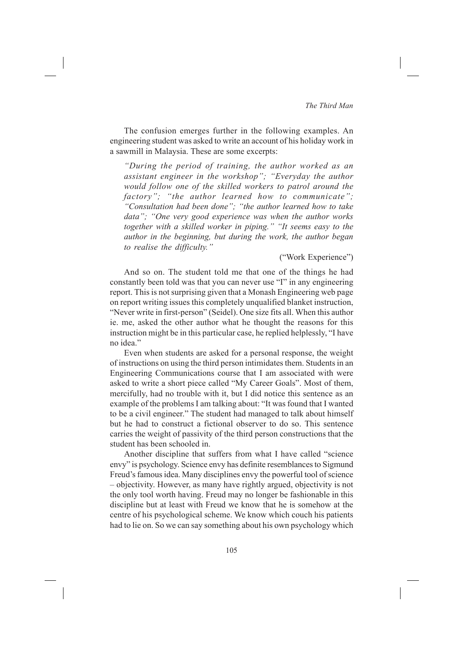The confusion emerges further in the following examples. An engineering student was asked to write an account of his holiday work in a sawmill in Malaysia. These are some excerpts:

*"During the period of training, the author worked as an assistant engineer in the workshop"; "Everyday the author would follow one of the skilled workers to patrol around the factory"; "the author learned how to communicate"; "Consultation had been done"; "the author learned how to take data"; "One very good experience was when the author works together with a skilled worker in piping." "It seems easy to the author in the beginning, but during the work, the author began to realise the difficulty."*

#### ("Work Experience")

And so on. The student told me that one of the things he had constantly been told was that you can never use "I" in any engineering report. This is not surprising given that a Monash Engineering web page on report writing issues this completely unqualified blanket instruction, "Never write in first-person" (Seidel). One size fits all. When this author ie. me, asked the other author what he thought the reasons for this instruction might be in this particular case, he replied helplessly, "I have no idea."

Even when students are asked for a personal response, the weight of instructions on using the third person intimidates them. Students in an Engineering Communications course that I am associated with were asked to write a short piece called "My Career Goals". Most of them, mercifully, had no trouble with it, but I did notice this sentence as an example of the problems I am talking about: "It was found that I wanted to be a civil engineer." The student had managed to talk about himself but he had to construct a fictional observer to do so. This sentence carries the weight of passivity of the third person constructions that the student has been schooled in.

Another discipline that suffers from what I have called "science envy" is psychology. Science envy has definite resemblances to Sigmund Freud's famous idea. Many disciplines envy the powerful tool of science – objectivity. However, as many have rightly argued, objectivity is not the only tool worth having. Freud may no longer be fashionable in this discipline but at least with Freud we know that he is somehow at the centre of his psychological scheme. We know which couch his patients had to lie on. So we can say something about his own psychology which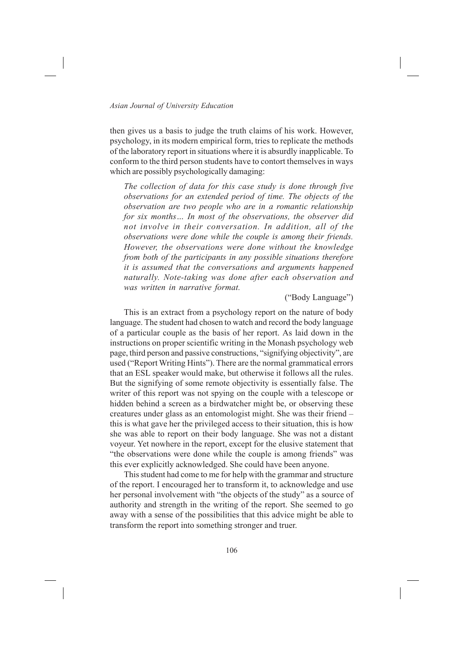then gives us a basis to judge the truth claims of his work. However, psychology, in its modern empirical form, tries to replicate the methods of the laboratory report in situations where it is absurdly inapplicable. To conform to the third person students have to contort themselves in ways which are possibly psychologically damaging:

*The collection of data for this case study is done through five observations for an extended period of time. The objects of the observation are two people who are in a romantic relationship for six months… In most of the observations, the observer did not involve in their conversation. In addition, all of the observations were done while the couple is among their friends. However, the observations were done without the knowledge from both of the participants in any possible situations therefore it is assumed that the conversations and arguments happened naturally. Note-taking was done after each observation and was written in narrative format.*

## ("Body Language")

This is an extract from a psychology report on the nature of body language. The student had chosen to watch and record the body language of a particular couple as the basis of her report. As laid down in the instructions on proper scientific writing in the Monash psychology web page, third person and passive constructions, "signifying objectivity", are used ("Report Writing Hints"). There are the normal grammatical errors that an ESL speaker would make, but otherwise it follows all the rules. But the signifying of some remote objectivity is essentially false. The writer of this report was not spying on the couple with a telescope or hidden behind a screen as a birdwatcher might be, or observing these creatures under glass as an entomologist might. She was their friend – this is what gave her the privileged access to their situation, this is how she was able to report on their body language. She was not a distant voyeur. Yet nowhere in the report, except for the elusive statement that "the observations were done while the couple is among friends" was this ever explicitly acknowledged. She could have been anyone.

This student had come to me for help with the grammar and structure of the report. I encouraged her to transform it, to acknowledge and use her personal involvement with "the objects of the study" as a source of authority and strength in the writing of the report. She seemed to go away with a sense of the possibilities that this advice might be able to transform the report into something stronger and truer.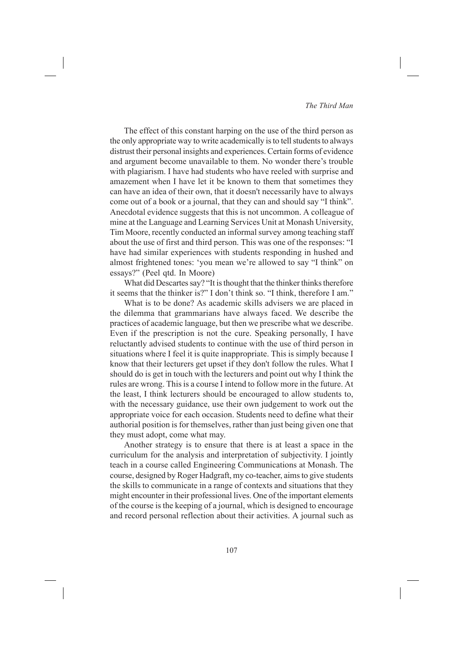## *The Third Man*

The effect of this constant harping on the use of the third person as the only appropriate way to write academically is to tell students to always distrust their personal insights and experiences. Certain forms of evidence and argument become unavailable to them. No wonder there's trouble with plagiarism. I have had students who have reeled with surprise and amazement when I have let it be known to them that sometimes they can have an idea of their own, that it doesn't necessarily have to always come out of a book or a journal, that they can and should say "I think". Anecdotal evidence suggests that this is not uncommon. A colleague of mine at the Language and Learning Services Unit at Monash University, Tim Moore, recently conducted an informal survey among teaching staff about the use of first and third person. This was one of the responses: "I have had similar experiences with students responding in hushed and almost frightened tones: 'you mean we're allowed to say "I think" on essays?" (Peel qtd. In Moore)

What did Descartes say? "It is thought that the thinker thinks therefore it seems that the thinker is?" I don't think so. "I think, therefore I am."

What is to be done? As academic skills advisers we are placed in the dilemma that grammarians have always faced. We describe the practices of academic language, but then we prescribe what we describe. Even if the prescription is not the cure. Speaking personally, I have reluctantly advised students to continue with the use of third person in situations where I feel it is quite inappropriate. This is simply because I know that their lecturers get upset if they don't follow the rules. What I should do is get in touch with the lecturers and point out why I think the rules are wrong. This is a course I intend to follow more in the future. At the least, I think lecturers should be encouraged to allow students to, with the necessary guidance, use their own judgement to work out the appropriate voice for each occasion. Students need to define what their authorial position is for themselves, rather than just being given one that they must adopt, come what may.

Another strategy is to ensure that there is at least a space in the curriculum for the analysis and interpretation of subjectivity. I jointly teach in a course called Engineering Communications at Monash. The course, designed by Roger Hadgraft, my co-teacher, aims to give students the skills to communicate in a range of contexts and situations that they might encounter in their professional lives. One of the important elements of the course is the keeping of a journal, which is designed to encourage and record personal reflection about their activities. A journal such as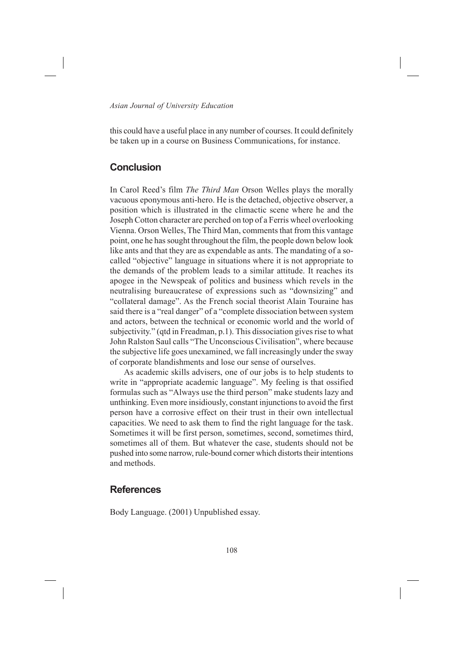this could have a useful place in any number of courses. It could definitely be taken up in a course on Business Communications, for instance.

## **Conclusion**

In Carol Reed's film *The Third Man* Orson Welles plays the morally vacuous eponymous anti-hero. He is the detached, objective observer, a position which is illustrated in the climactic scene where he and the Joseph Cotton character are perched on top of a Ferris wheel overlooking Vienna. Orson Welles, The Third Man, comments that from this vantage point, one he has sought throughout the film, the people down below look like ants and that they are as expendable as ants. The mandating of a socalled "objective" language in situations where it is not appropriate to the demands of the problem leads to a similar attitude. It reaches its apogee in the Newspeak of politics and business which revels in the neutralising bureaucratese of expressions such as "downsizing" and "collateral damage". As the French social theorist Alain Touraine has said there is a "real danger" of a "complete dissociation between system and actors, between the technical or economic world and the world of subjectivity." (qtd in Freadman, p.1). This dissociation gives rise to what John Ralston Saul calls "The Unconscious Civilisation", where because the subjective life goes unexamined, we fall increasingly under the sway of corporate blandishments and lose our sense of ourselves.

As academic skills advisers, one of our jobs is to help students to write in "appropriate academic language". My feeling is that ossified formulas such as "Always use the third person" make students lazy and unthinking. Even more insidiously, constant injunctions to avoid the first person have a corrosive effect on their trust in their own intellectual capacities. We need to ask them to find the right language for the task. Sometimes it will be first person, sometimes, second, sometimes third, sometimes all of them. But whatever the case, students should not be pushed into some narrow, rule-bound corner which distorts their intentions and methods.

## **References**

Body Language. (2001) Unpublished essay.